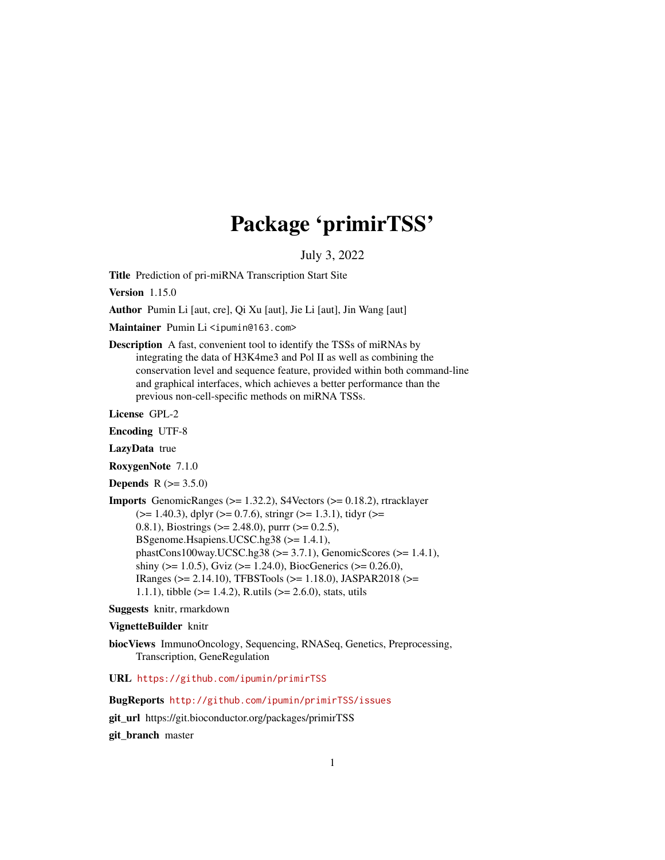## Package 'primirTSS'

July 3, 2022

Title Prediction of pri-miRNA Transcription Start Site

Version 1.15.0

Author Pumin Li [aut, cre], Qi Xu [aut], Jie Li [aut], Jin Wang [aut]

Maintainer Pumin Li <ipumin@163.com>

Description A fast, convenient tool to identify the TSSs of miRNAs by integrating the data of H3K4me3 and Pol II as well as combining the conservation level and sequence feature, provided within both command-line and graphical interfaces, which achieves a better performance than the previous non-cell-specific methods on miRNA TSSs.

License GPL-2

Encoding UTF-8

LazyData true

RoxygenNote 7.1.0

**Depends**  $R (= 3.5.0)$ 

Imports GenomicRanges (>= 1.32.2), S4Vectors (>= 0.18.2), rtracklayer  $(>= 1.40.3)$ , dplyr  $(>= 0.7.6)$ , stringr  $(>= 1.3.1)$ , tidyr  $(>= 1.40.3)$ 0.8.1), Biostrings ( $\ge$  2.48.0), purrr ( $\ge$  0.2.5), BSgenome.Hsapiens.UCSC.hg38 (>= 1.4.1), phastCons100way.UCSC.hg38 (>= 3.7.1), GenomicScores (>= 1.4.1), shiny ( $> = 1.0.5$ ), Gviz ( $> = 1.24.0$ ), BiocGenerics ( $> = 0.26.0$ ), IRanges (>= 2.14.10), TFBSTools (>= 1.18.0), JASPAR2018 (>= 1.1.1), tibble (>= 1.4.2), R.utils (>= 2.6.0), stats, utils

#### Suggests knitr, rmarkdown

#### VignetteBuilder knitr

biocViews ImmunoOncology, Sequencing, RNASeq, Genetics, Preprocessing, Transcription, GeneRegulation

URL <https://github.com/ipumin/primirTSS>

BugReports <http://github.com/ipumin/primirTSS/issues>

git\_url https://git.bioconductor.org/packages/primirTSS

git\_branch master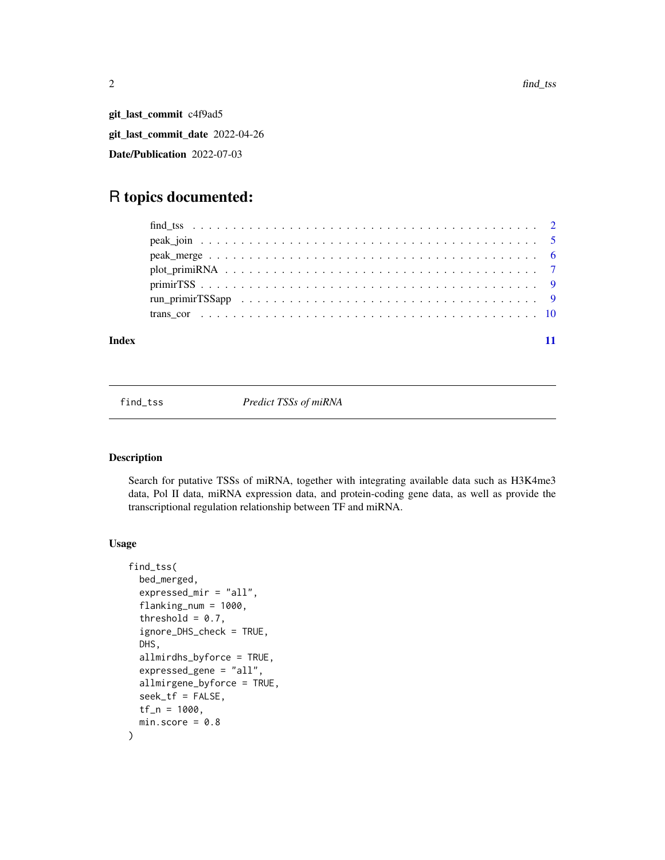<span id="page-1-0"></span>git\_last\_commit c4f9ad5 git\_last\_commit\_date 2022-04-26 Date/Publication 2022-07-03

### R topics documented:

#### **Index** [11](#page-10-0)

<span id="page-1-1"></span>find\_tss *Predict TSSs of miRNA*

#### Description

Search for putative TSSs of miRNA, together with integrating available data such as H3K4me3 data, Pol II data, miRNA expression data, and protein-coding gene data, as well as provide the transcriptional regulation relationship between TF and miRNA.

#### Usage

```
find_tss(
 bed_merged,
  expressed_mir = "all",
  flanking_num = 1000,
  threshold = 0.7,
  ignore_DHS_check = TRUE,
  DHS,
  allmirdhs_byforce = TRUE,
  expressed_gene = "all",
  allmirgene_byforce = TRUE,
  seek_tf = FALSE,
  tf_n = 1000,min.score = 0.8)
```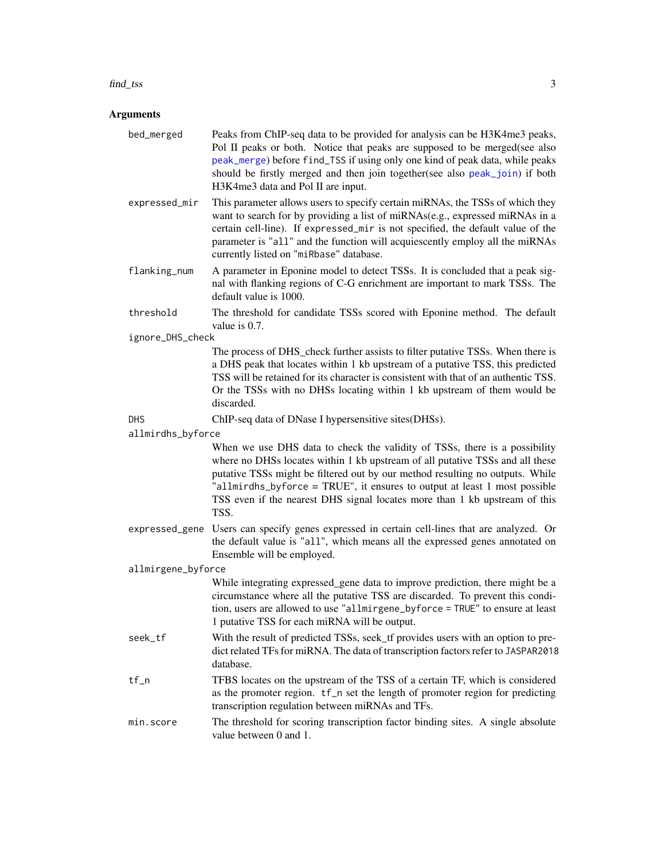#### <span id="page-2-0"></span>find\_tss 3

#### **Arguments**

- bed\_merged Peaks from ChIP-seq data to be provided for analysis can be H3K4me3 peaks, Pol II peaks or both. Notice that peaks are supposed to be merged(see also [peak\\_merge](#page-5-1)) before find\_TSS if using only one kind of peak data, while peaks should be firstly merged and then join together(see also [peak\\_join](#page-4-1)) if both H3K4me3 data and Pol II are input.
- expressed\_mir This parameter allows users to specify certain miRNAs, the TSSs of which they want to search for by providing a list of miRNAs(e.g., expressed miRNAs in a certain cell-line). If expressed\_mir is not specified, the default value of the parameter is "all" and the function will acquiescently employ all the miRNAs currently listed on "miRbase" database.
- flanking\_num A parameter in Eponine model to detect TSSs. It is concluded that a peak signal with flanking regions of C-G enrichment are important to mark TSSs. The default value is 1000.
- threshold The threshold for candidate TSSs scored with Eponine method. The default value is 0.7.
- ignore\_DHS\_check

The process of DHS\_check further assists to filter putative TSSs. When there is a DHS peak that locates within 1 kb upstream of a putative TSS, this predicted TSS will be retained for its character is consistent with that of an authentic TSS. Or the TSSs with no DHSs locating within 1 kb upstream of them would be discarded.

DHS ChIP-seq data of DNase I hypersensitive sites(DHSs).

allmirdhs\_byforce

When we use DHS data to check the validity of TSSs, there is a possibility where no DHSs locates within 1 kb upstream of all putative TSSs and all these putative TSSs might be filtered out by our method resulting no outputs. While "allmirdhs\_byforce = TRUE", it ensures to output at least 1 most possible TSS even if the nearest DHS signal locates more than 1 kb upstream of this TSS.

expressed\_gene Users can specify genes expressed in certain cell-lines that are analyzed. Or the default value is "all", which means all the expressed genes annotated on Ensemble will be employed.

allmirgene\_byforce

While integrating expressed\_gene data to improve prediction, there might be a circumstance where all the putative TSS are discarded. To prevent this condition, users are allowed to use "allmirgene\_byforce = TRUE" to ensure at least 1 putative TSS for each miRNA will be output.

- seek\_tf With the result of predicted TSSs, seek\_tf provides users with an option to predict related TFs for miRNA. The data of transcription factors refer to JASPAR2018 database.
- tf\_n TFBS locates on the upstream of the TSS of a certain TF, which is considered as the promoter region. tf\_n set the length of promoter region for predicting transcription regulation between miRNAs and TFs.
- min.score The threshold for scoring transcription factor binding sites. A single absolute value between 0 and 1.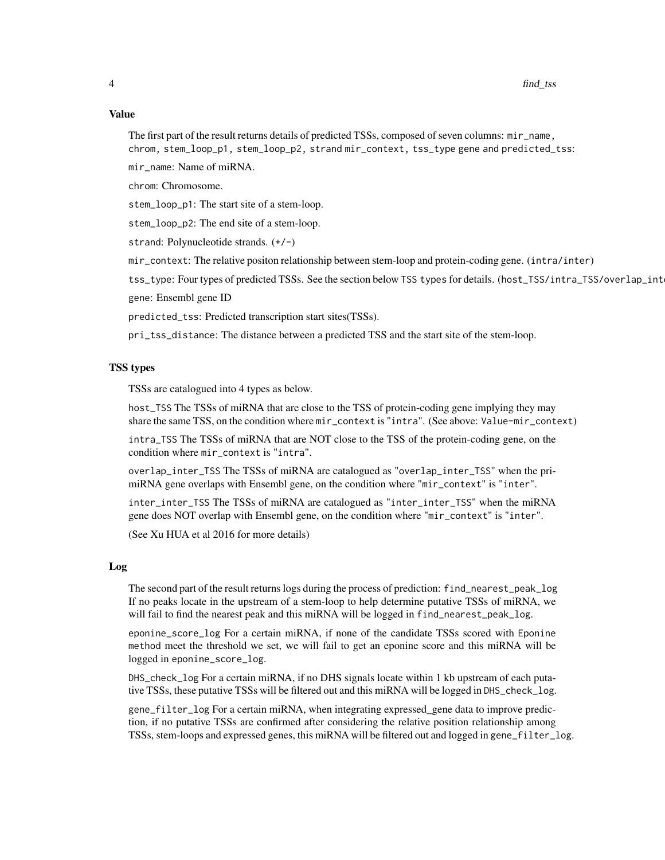The first part of the result returns details of predicted TSSs, composed of seven columns: mir\_name, chrom, stem\_loop\_p1, stem\_loop\_p2, strand mir\_context, tss\_type gene and predicted\_tss:

mir\_name: Name of miRNA.

chrom: Chromosome.

stem\_loop\_p1: The start site of a stem-loop.

stem\_loop\_p2: The end site of a stem-loop.

strand: Polynucleotide strands. (+/-)

mir\_context: The relative positon relationship between stem-loop and protein-coding gene. (intra/inter)

tss\_type: Four types of predicted TSSs. See the section below TSS types for details. (host\_TSS/intra\_TSS/overlap\_int gene: Ensembl gene ID

predicted\_tss: Predicted transcription start sites(TSSs).

pri\_tss\_distance: The distance between a predicted TSS and the start site of the stem-loop.

#### TSS types

TSSs are catalogued into 4 types as below.

host\_TSS The TSSs of miRNA that are close to the TSS of protein-coding gene implying they may share the same TSS, on the condition where mir\_context is "intra". (See above: Value-mir\_context)

intra\_TSS The TSSs of miRNA that are NOT close to the TSS of the protein-coding gene, on the condition where mir\_context is "intra".

overlap\_inter\_TSS The TSSs of miRNA are catalogued as "overlap\_inter\_TSS" when the primiRNA gene overlaps with Ensembl gene, on the condition where "mir\_context" is "inter".

inter\_inter\_TSS The TSSs of miRNA are catalogued as "inter\_inter\_TSS" when the miRNA gene does NOT overlap with Ensembl gene, on the condition where "mir\_context" is "inter".

(See Xu HUA et al 2016 for more details)

#### Log

The second part of the result returns logs during the process of prediction: find\_nearest\_peak\_log If no peaks locate in the upstream of a stem-loop to help determine putative TSSs of miRNA, we will fail to find the nearest peak and this miRNA will be logged in find\_nearest\_peak\_log.

eponine\_score\_log For a certain miRNA, if none of the candidate TSSs scored with Eponine method meet the threshold we set, we will fail to get an eponine score and this miRNA will be logged in eponine\_score\_log.

DHS\_check\_log For a certain miRNA, if no DHS signals locate within 1 kb upstream of each putative TSSs, these putative TSSs will be filtered out and this miRNA will be logged in DHS\_check\_log.

gene\_filter\_log For a certain miRNA, when integrating expressed\_gene data to improve prediction, if no putative TSSs are confirmed after considering the relative position relationship among TSSs, stem-loops and expressed genes, this miRNA will be filtered out and logged in gene\_filter\_log.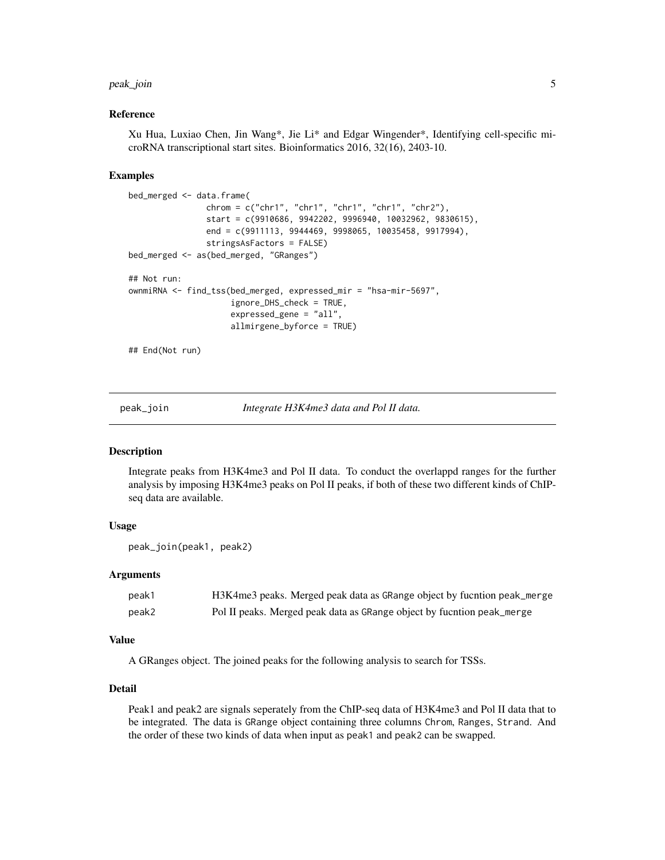#### <span id="page-4-0"></span>peak\_join 5

#### Reference

Xu Hua, Luxiao Chen, Jin Wang\*, Jie Li\* and Edgar Wingender\*, Identifying cell-specific microRNA transcriptional start sites. Bioinformatics 2016, 32(16), 2403-10.

#### Examples

```
bed_merged <- data.frame(
                chrom = c("chr1", "chr1", "chr1", "chr1", "chr2"),
                start = c(9910686, 9942202, 9996940, 10032962, 9830615),
                end = c(9911113, 9944469, 9998065, 10035458, 9917994),
                stringsAsFactors = FALSE)
bed_merged <- as(bed_merged, "GRanges")
## Not run:
ownmiRNA <- find_tss(bed_merged, expressed_mir = "hsa-mir-5697",
                     ignore_DHS_check = TRUE,
                     expressed_gene = "all",
                     allmirgene_byforce = TRUE)
```
## End(Not run)

<span id="page-4-1"></span>

peak\_join *Integrate H3K4me3 data and Pol II data.*

#### Description

Integrate peaks from H3K4me3 and Pol II data. To conduct the overlappd ranges for the further analysis by imposing H3K4me3 peaks on Pol II peaks, if both of these two different kinds of ChIPseq data are available.

#### Usage

```
peak_join(peak1, peak2)
```
#### Arguments

| peak1 | H3K4me3 peaks. Merged peak data as GRange object by fucntion peak_merge |
|-------|-------------------------------------------------------------------------|
| peak2 | Pol II peaks. Merged peak data as GRange object by fucntion peak_merge  |

#### Value

A GRanges object. The joined peaks for the following analysis to search for TSSs.

#### Detail

Peak1 and peak2 are signals seperately from the ChIP-seq data of H3K4me3 and Pol II data that to be integrated. The data is GRange object containing three columns Chrom, Ranges, Strand. And the order of these two kinds of data when input as peak1 and peak2 can be swapped.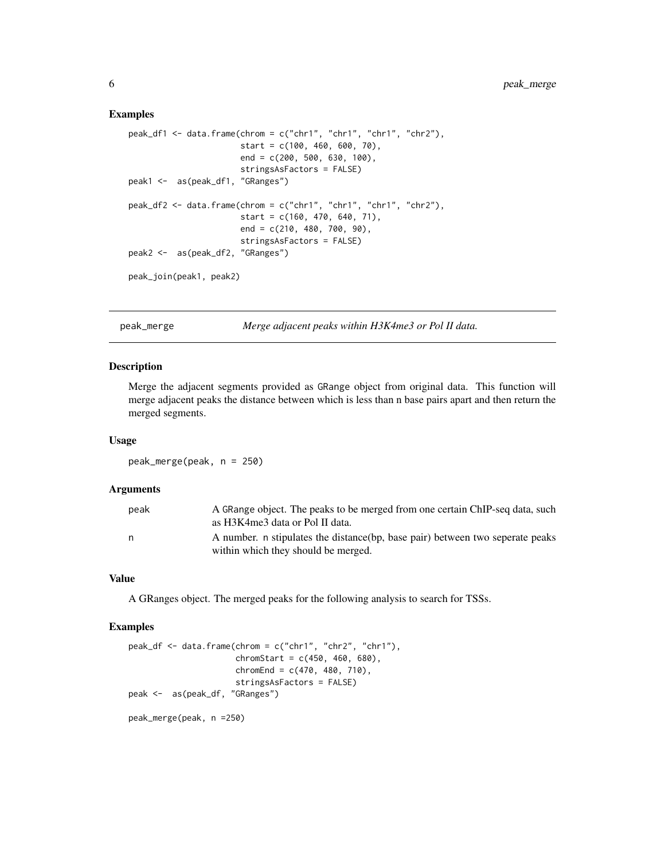#### Examples

```
peak_df1 <- data.frame(chrom = c("chr1", "chr1", "chr1", "chr2"),
                       start = c(100, 460, 600, 70),
                       end = c(200, 500, 630, 100),
                       stringsAsFactors = FALSE)
peak1 <- as(peak_df1, "GRanges")
peak_df2 <- data.frame(chrom = c("chr1", "chr1", "chr1", "chr2"),
                       start = c(160, 470, 640, 71),
                       end = c(210, 480, 700, 90),
                       stringsAsFactors = FALSE)
peak2 <- as(peak_df2, "GRanges")
peak_join(peak1, peak2)
```
<span id="page-5-1"></span>peak\_merge *Merge adjacent peaks within H3K4me3 or Pol II data.*

#### Description

Merge the adjacent segments provided as GRange object from original data. This function will merge adjacent peaks the distance between which is less than n base pairs apart and then return the merged segments.

#### Usage

peak\_merge(peak, n = 250)

#### Arguments

| peak | A GRange object. The peaks to be merged from one certain ChIP-seq data, such<br>as H3K4me3 data or Pol II data.       |
|------|-----------------------------------------------------------------------------------------------------------------------|
| n    | A number. n stipulates the distance (bp, base pair) between two seperate peaks<br>within which they should be merged. |

#### Value

A GRanges object. The merged peaks for the following analysis to search for TSSs.

#### Examples

```
peak_df <- data.frame(chrom = c("chr1", "chr2", "chr1"),
                     chromStart = c(450, 460, 680),
                      chromEnd = c(470, 480, 710),
                     stringsAsFactors = FALSE)
peak <- as(peak_df, "GRanges")
peak_merge(peak, n =250)
```
<span id="page-5-0"></span>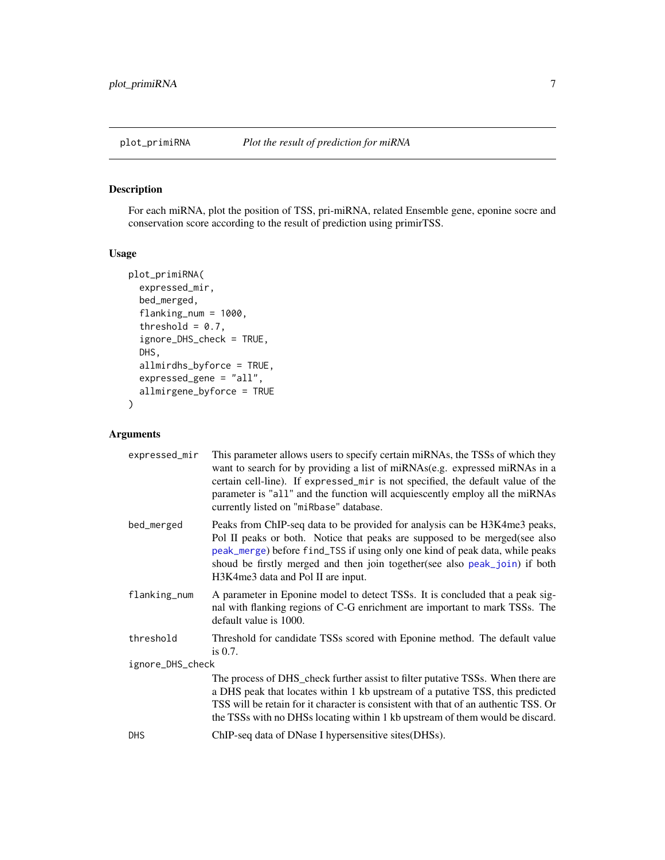<span id="page-6-1"></span><span id="page-6-0"></span>

#### Description

For each miRNA, plot the position of TSS, pri-miRNA, related Ensemble gene, eponine socre and conservation score according to the result of prediction using primirTSS.

#### Usage

```
plot_primiRNA(
  expressed_mir,
  bed_merged,
  flanking_num = 1000,
  threshold = 0.7,
  ignore_DHS_check = TRUE,
  DHS,
  allmirdhs_byforce = TRUE,
  expressed_gene = "all",
  allmirgene_byforce = TRUE
)
```
#### Arguments

| expressed_mir    | This parameter allows users to specify certain miRNAs, the TSSs of which they<br>want to search for by providing a list of miRNAs(e.g. expressed miRNAs in a<br>certain cell-line). If expressed_mir is not specified, the default value of the<br>parameter is "all" and the function will acquiescently employ all the miRNAs<br>currently listed on "miRbase" database. |  |
|------------------|----------------------------------------------------------------------------------------------------------------------------------------------------------------------------------------------------------------------------------------------------------------------------------------------------------------------------------------------------------------------------|--|
| bed_merged       | Peaks from ChIP-seq data to be provided for analysis can be H3K4me3 peaks,<br>Pol II peaks or both. Notice that peaks are supposed to be merged(see also<br>peak_merge) before find_TSS if using only one kind of peak data, while peaks<br>shoud be firstly merged and then join together(see also peak_join) if both<br>H3K4me3 data and Pol II are input.               |  |
| flanking_num     | A parameter in Eponine model to detect TSSs. It is concluded that a peak sig-<br>nal with flanking regions of C-G enrichment are important to mark TSSs. The<br>default value is 1000.                                                                                                                                                                                     |  |
| threshold        | Threshold for candidate TSSs scored with Eponine method. The default value<br>is $0.7$ .                                                                                                                                                                                                                                                                                   |  |
| ignore_DHS_check |                                                                                                                                                                                                                                                                                                                                                                            |  |
|                  | The process of DHS_check further assist to filter putative TSSs. When there are<br>a DHS peak that locates within 1 kb upstream of a putative TSS, this predicted<br>TSS will be retain for it character is consistent with that of an authentic TSS. Or<br>the TSSs with no DHSs locating within 1 kb upstream of them would be discard.                                  |  |
| <b>DHS</b>       | ChIP-seq data of DNase I hypersensitive sites (DHSs).                                                                                                                                                                                                                                                                                                                      |  |
|                  |                                                                                                                                                                                                                                                                                                                                                                            |  |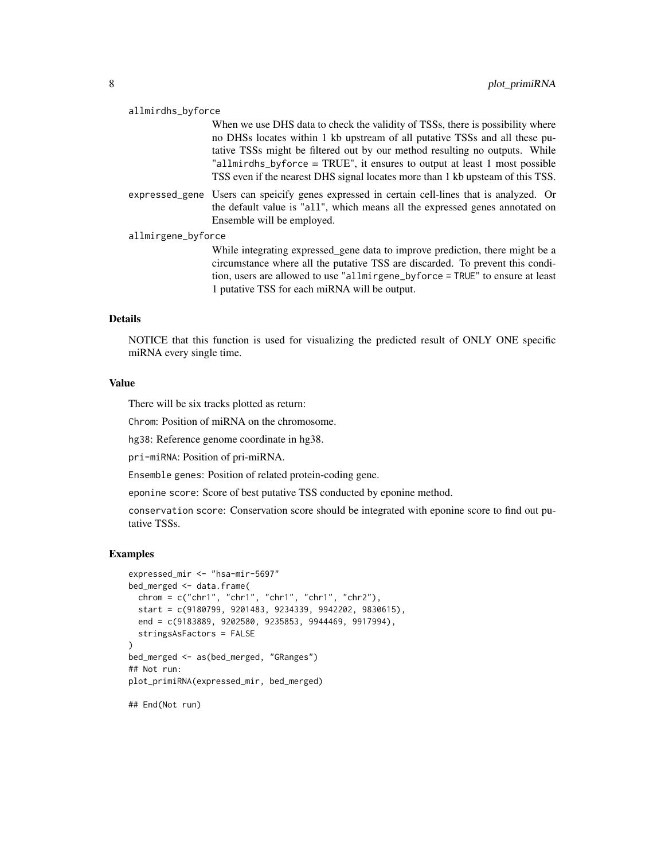#### allmirdhs\_byforce

When we use DHS data to check the validity of TSSs, there is possibility where no DHSs locates within 1 kb upstream of all putative TSSs and all these putative TSSs might be filtered out by our method resulting no outputs. While "allmirdhs\_byforce = TRUE", it ensures to output at least 1 most possible TSS even if the nearest DHS signal locates more than 1 kb upsteam of this TSS.

expressed\_gene Users can speicify genes expressed in certain cell-lines that is analyzed. Or the default value is "all", which means all the expressed genes annotated on Ensemble will be employed.

#### allmirgene\_byforce

While integrating expressed\_gene data to improve prediction, there might be a circumstance where all the putative TSS are discarded. To prevent this condition, users are allowed to use "allmirgene\_byforce = TRUE" to ensure at least 1 putative TSS for each miRNA will be output.

#### Details

NOTICE that this function is used for visualizing the predicted result of ONLY ONE specific miRNA every single time.

#### Value

There will be six tracks plotted as return:

Chrom: Position of miRNA on the chromosome.

hg38: Reference genome coordinate in hg38.

pri-miRNA: Position of pri-miRNA.

Ensemble genes: Position of related protein-coding gene.

eponine score: Score of best putative TSS conducted by eponine method.

conservation score: Conservation score should be integrated with eponine score to find out putative TSSs.

#### Examples

```
expressed_mir <- "hsa-mir-5697"
bed_merged <- data.frame(
  chrom = c("chr1", "chr1", "chr1", "chr1", "chr2"),
  start = c(9180799, 9201483, 9234339, 9942202, 9830615),
  end = c(9183889, 9202580, 9235853, 9944469, 9917994),
  stringsAsFactors = FALSE
\mathcal{L}bed_merged <- as(bed_merged, "GRanges")
## Not run:
plot_primiRNA(expressed_mir, bed_merged)
## End(Not run)
```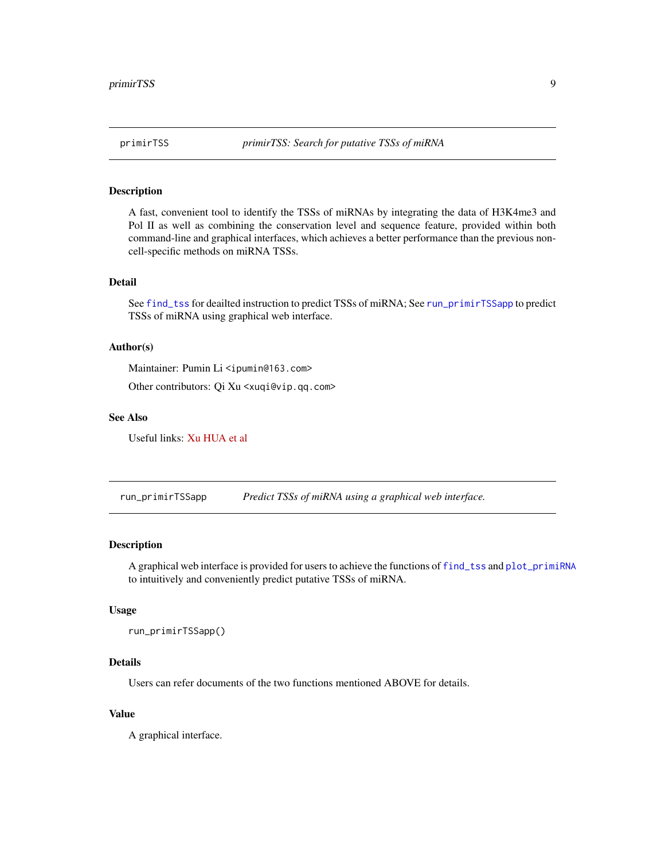<span id="page-8-0"></span>

#### Description

A fast, convenient tool to identify the TSSs of miRNAs by integrating the data of H3K4me3 and Pol II as well as combining the conservation level and sequence feature, provided within both command-line and graphical interfaces, which achieves a better performance than the previous noncell-specific methods on miRNA TSSs.

#### Detail

See [find\\_tss](#page-1-1) for deailted instruction to predict TSSs of miRNA; See [run\\_primirTSSapp](#page-8-1) to predict TSSs of miRNA using graphical web interface.

#### Author(s)

Maintainer: Pumin Li <ipumin@163.com>

Other contributors: Qi Xu <xuqi@vip.qq.com>

#### See Also

Useful links: [Xu HUA et al](https://academic.oup.com/bioinformatics/article-lookup/doi/10.1093/bioinformatics/btw171)

<span id="page-8-1"></span>run\_primirTSSapp *Predict TSSs of miRNA using a graphical web interface.*

#### Description

A graphical web interface is provided for users to achieve the functions of [find\\_tss](#page-1-1) and [plot\\_primiRNA](#page-6-1) to intuitively and conveniently predict putative TSSs of miRNA.

#### Usage

run\_primirTSSapp()

#### Details

Users can refer documents of the two functions mentioned ABOVE for details.

#### Value

A graphical interface.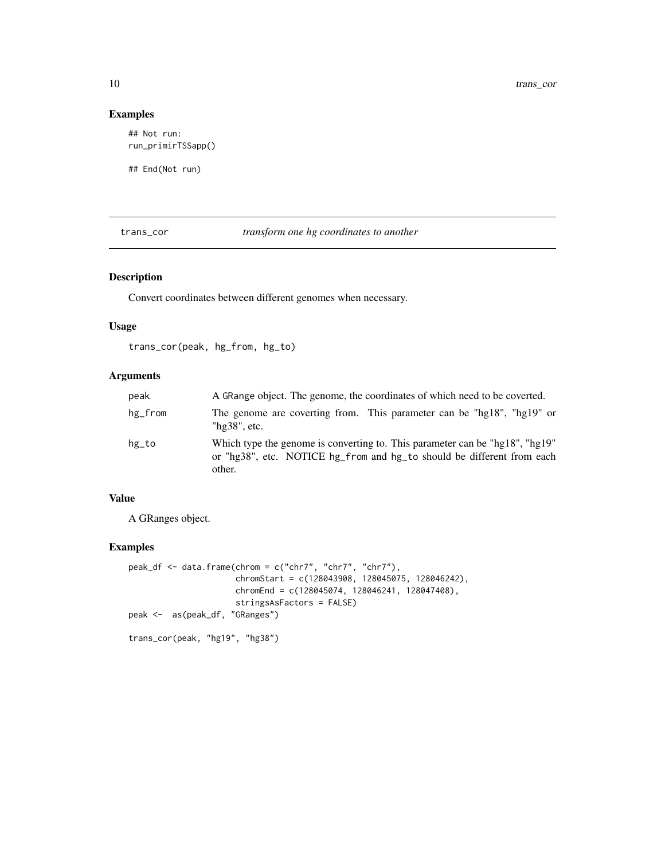#### Examples

## Not run: run\_primirTSSapp()

## End(Not run)

trans\_cor *transform one hg coordinates to another*

#### Description

Convert coordinates between different genomes when necessary.

#### Usage

trans\_cor(peak, hg\_from, hg\_to)

#### Arguments

| peak    | A GRange object. The genome, the coordinates of which need to be coverted.                                                                                       |
|---------|------------------------------------------------------------------------------------------------------------------------------------------------------------------|
| hg_from | The genome are coverting from. This parameter can be "hg18", "hg19" or<br>" $hg38"$ , etc.                                                                       |
| hg_to   | Which type the genome is converting to. This parameter can be "hg18", "hg19"<br>or "hg38", etc. NOTICE hg_from and hg_to should be different from each<br>other. |

#### Value

A GRanges object.

#### Examples

```
peak_df <- data.frame(chrom = c("chr7", "chr7", "chr7"),
                      chromStart = c(128043908, 128045075, 128046242),
                     chromEnd = c(128045074, 128046241, 128047408),
                     stringsAsFactors = FALSE)
peak <- as(peak_df, "GRanges")
trans_cor(peak, "hg19", "hg38")
```
<span id="page-9-0"></span>